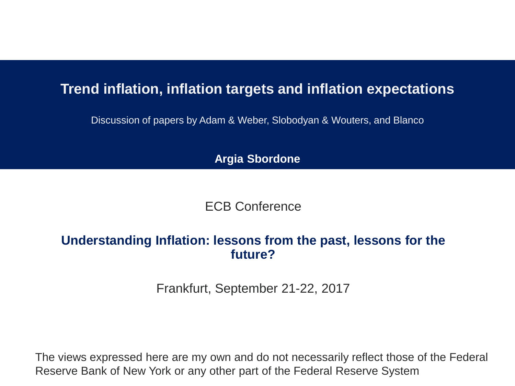#### **Trend inflation, inflation targets and inflation expectations**

Discussion of papers by Adam & Weber, Slobodyan & Wouters, and Blanco

**Argia Sbordone**

ECB Conference

#### **Understanding Inflation: lessons from the past, lessons for the future?**

Frankfurt, September 21-22, 2017

The views expressed here are my own and do not necessarily reflect those of the Federal Reserve Bank of New York or any other part of the Federal Reserve System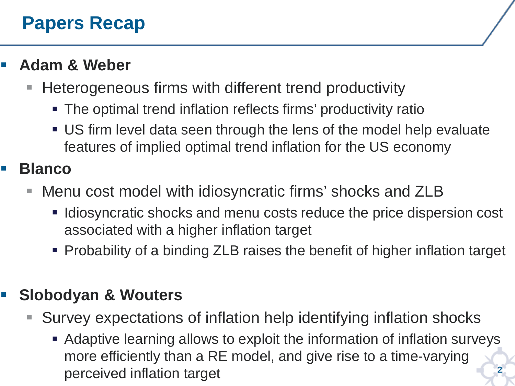#### **Papers Recap**

#### **Adam & Weber**

- Heterogeneous firms with different trend productivity
	- The optimal trend inflation reflects firms' productivity ratio
	- US firm level data seen through the lens of the model help evaluate features of implied optimal trend inflation for the US economy

#### **Blanco**

- Menu cost model with idiosyncratic firms' shocks and ZLB
	- **If Idiosyncratic shocks and menu costs reduce the price dispersion cost** associated with a higher inflation target
	- Probability of a binding ZLB raises the benefit of higher inflation target

#### **Slobodyan & Wouters**

- Survey expectations of inflation help identifying inflation shocks
	- **2** Adaptive learning allows to exploit the information of inflation surveys more efficiently than a RE model, and give rise to a time-varying perceived inflation target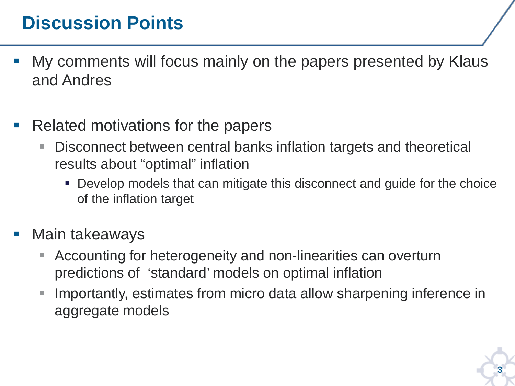### **Discussion Points**

- My comments will focus mainly on the papers presented by Klaus and Andres
- Related motivations for the papers
	- Disconnect between central banks inflation targets and theoretical results about "optimal" inflation
		- Develop models that can mitigate this disconnect and guide for the choice of the inflation target
- Main takeaways
	- Accounting for heterogeneity and non-linearities can overturn predictions of 'standard' models on optimal inflation
	- **IMPORTANTILE INTERGOVER IN EXAMPLE In FIGURE 10 IN EXAMPLE 10 IN EXAMPLE 10 IN EXAMPLE 10 IN EXAMPLE 10 IN EXA** aggregate models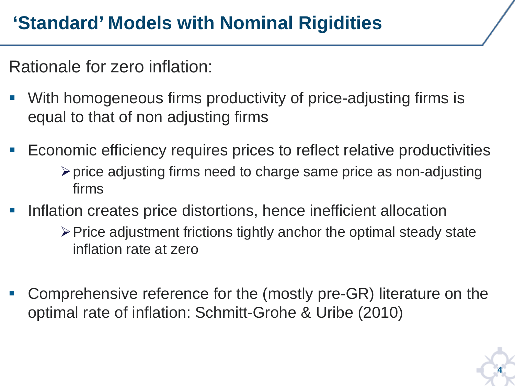## **'Standard' Models with Nominal Rigidities**

Rationale for zero inflation:

- With homogeneous firms productivity of price-adjusting firms is equal to that of non adjusting firms
- Economic efficiency requires prices to reflect relative productivities  $\triangleright$  price adjusting firms need to charge same price as non-adjusting firms
- Inflation creates price distortions, hence inefficient allocation
	- $\triangleright$  Price adjustment frictions tightly anchor the optimal steady state inflation rate at zero
- Comprehensive reference for the (mostly pre-GR) literature on the optimal rate of inflation: Schmitt-Grohe & Uribe (2010)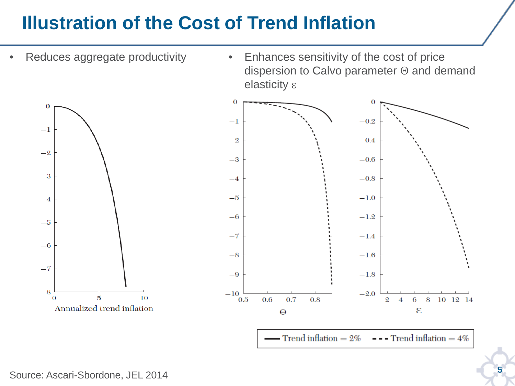### **Illustration of the Cost of Trend Inflation**

- Reduces aggregate productivity
- Enhances sensitivity of the cost of price dispersion to Calvo parameter Θ and demand elasticity ε



 $\longrightarrow$  Trend inflation = 2%  $---$  Trend inflation =  $4\%$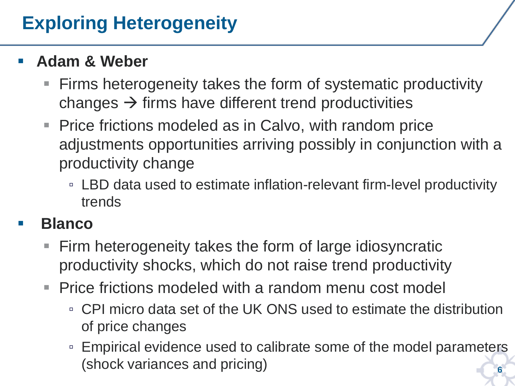### **Exploring Heterogeneity**

#### **Adam & Weber**

- Firms heterogeneity takes the form of systematic productivity changes  $\rightarrow$  firms have different trend productivities
- **Price frictions modeled as in Calvo, with random price** adjustments opportunities arriving possibly in conjunction with a productivity change
	- LBD data used to estimate inflation-relevant firm-level productivity trends

#### **Blanco**

- **Firm heterogeneity takes the form of large idiosyncratic** productivity shocks, which do not raise trend productivity
- Price frictions modeled with a random menu cost model
	- CPI micro data set of the UK ONS used to estimate the distribution of price changes
	- **6** ▫ Empirical evidence used to calibrate some of the model parameters (shock variances and pricing)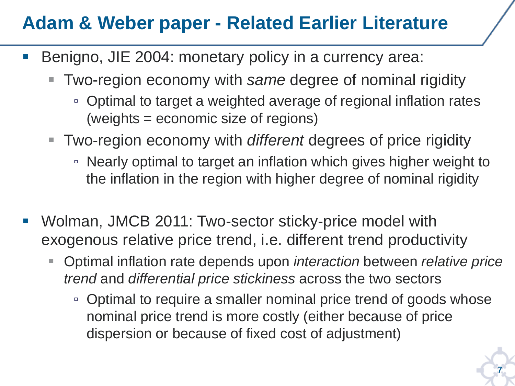#### **Adam & Weber paper - Related Earlier Literature**

- Benigno, JIE 2004: monetary policy in a currency area:
	- Two-region economy with *same* degree of nominal rigidity
		- Optimal to target a weighted average of regional inflation rates (weights = economic size of regions)
	- Two-region economy with *different* degrees of price rigidity
		- Nearly optimal to target an inflation which gives higher weight to the inflation in the region with higher degree of nominal rigidity
- Wolman, JMCB 2011: Two-sector sticky-price model with exogenous relative price trend, i.e. different trend productivity
	- Optimal inflation rate depends upon *interaction* between *relative price trend* and *differential price stickiness* across the two sectors
		- Optimal to require a smaller nominal price trend of goods whose nominal price trend is more costly (either because of price dispersion or because of fixed cost of adjustment)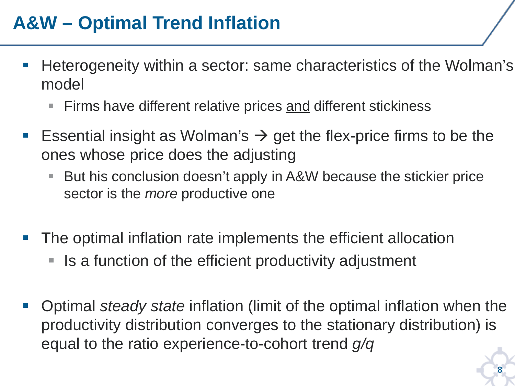### **A&W – Optimal Trend Inflation**

- **Heterogeneity within a sector: same characteristics of the Wolman's** model
	- Firms have different relative prices and different stickiness
- **Essential insight as Wolman's**  $\rightarrow$  **get the flex-price firms to be the** ones whose price does the adjusting
	- But his conclusion doesn't apply in A&W because the stickier price sector is the *more* productive one
- The optimal inflation rate implements the efficient allocation
	- Is a function of the efficient productivity adjustment
- Optimal *steady state* inflation (limit of the optimal inflation when the productivity distribution converges to the stationary distribution) is equal to the ratio experience-to-cohort trend *g/q*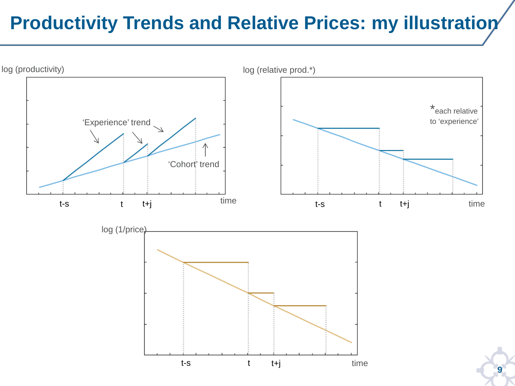## **Productivity Trends and Relative Prices: my illustration**

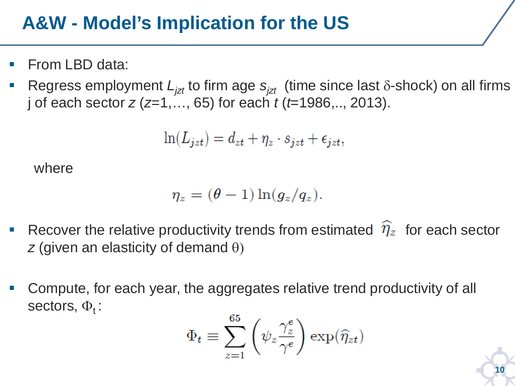### **A&W - Model's Implication for the US**

- From LBD data:
- Regress employment  $L_{izt}$  to firm age  $s_{izt}$  (time since last  $\delta$ -shock) on all firms j of each sector *z* (*z*=1,…, 65) for each *t* (*t*=1986,.., 2013).

$$
\ln(L_{jzt}) = d_{zt} + \eta_z \cdot s_{jzt} + \epsilon_{jzt},
$$

where

$$
\eta_z = (\theta - 1) \ln(g_z / q_z).
$$

- Recover the relative productivity trends from estimated  $\hat{\eta}_z$  for each sector *z* (given an elasticity of demand θ)
- Compute, for each year, the aggregates relative trend productivity of all sectors,  $\Phi_t$ :

$$
\Phi_t \equiv \sum_{z=1}^{65} \left( \psi_z \frac{\gamma_z^e}{\gamma^e} \right) \exp(\widehat{\eta}_{zt})
$$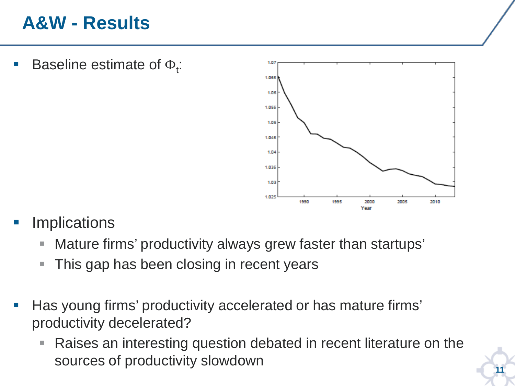#### **A&W - Results**

**Baseline estimate of**  $\Phi_t$ **:** 



- **Implications** 
	- Mature firms' productivity always grew faster than startups'
	- **This gap has been closing in recent years**
- Has young firms' productivity accelerated or has mature firms' productivity decelerated?
	- Raises an interesting question debated in recent literature on the sources of productivity slowdown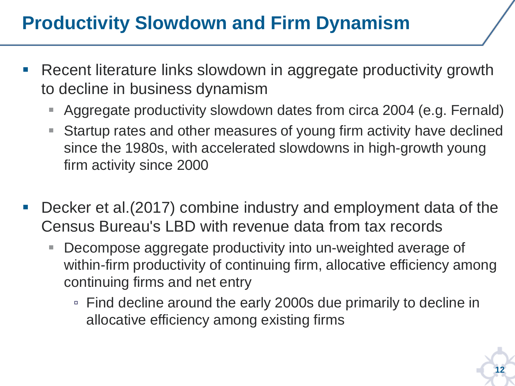### **Productivity Slowdown and Firm Dynamism**

- Recent literature links slowdown in aggregate productivity growth to decline in business dynamism
	- Aggregate productivity slowdown dates from circa 2004 (e.g. Fernald)
	- Startup rates and other measures of young firm activity have declined since the 1980s, with accelerated slowdowns in high-growth young firm activity since 2000
- Decker et al.(2017) combine industry and employment data of the Census Bureau's LBD with revenue data from tax records
	- Decompose aggregate productivity into un-weighted average of within-firm productivity of continuing firm, allocative efficiency among continuing firms and net entry
		- Find decline around the early 2000s due primarily to decline in allocative efficiency among existing firms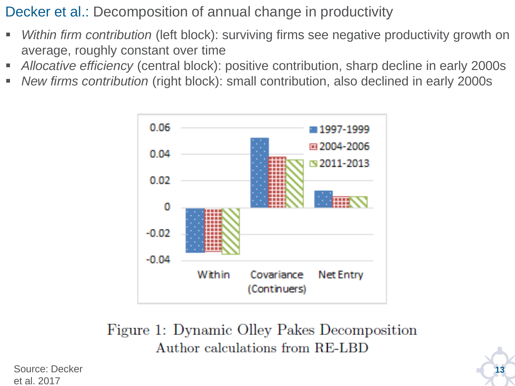Decker et al.: Decomposition of annual change in productivity

- *Within firm contribution* (left block): surviving firms see negative productivity growth on average, roughly constant over time
- *Allocative efficiency* (central block): positive contribution, sharp decline in early 2000s
- *New firms contribution* (right block): small contribution, also declined in early 2000s



Figure 1: Dynamic Olley Pakes Decomposition Author calculations from RE-LBD

Source: Decker **13** et al. 2017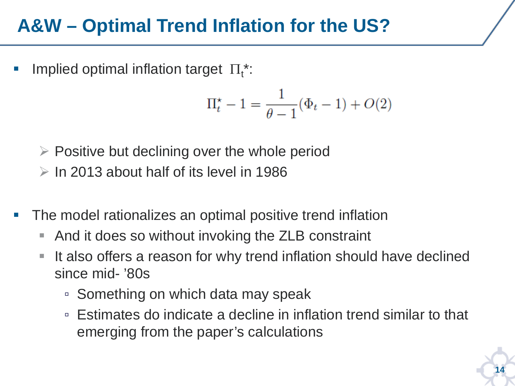#### **A&W – Optimal Trend Inflation for the US?**

**Implied optimal inflation target**  $\Pi_t^*$ :

$$
\Pi_t^* - 1 = \frac{1}{\theta - 1}(\Phi_t - 1) + O(2)
$$

- $\triangleright$  Positive but declining over the whole period
- $\geq$  In 2013 about half of its level in 1986
- The model rationalizes an optimal positive trend inflation
	- And it does so without invoking the ZLB constraint
	- If also offers a reason for why trend inflation should have declined since mid- '80s
		- Something on which data may speak
		- Estimates do indicate a decline in inflation trend similar to that emerging from the paper's calculations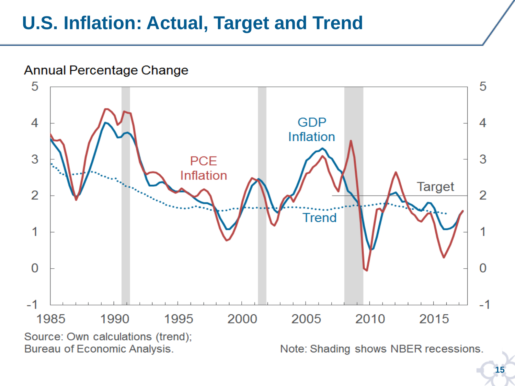#### **U.S. Inflation: Actual, Target and Trend**

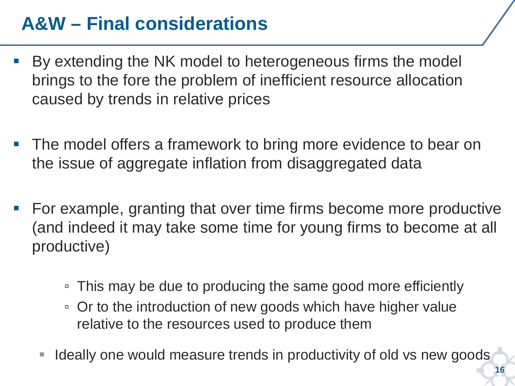### **A&W – Final considerations**

- By extending the NK model to heterogeneous firms the model brings to the fore the problem of inefficient resource allocation caused by trends in relative prices
- The model offers a framework to bring more evidence to bear on the issue of aggregate inflation from disaggregated data
- For example, granting that over time firms become more productive (and indeed it may take some time for young firms to become at all productive)
	- This may be due to producing the same good more efficiently
	- Or to the introduction of new goods which have higher value relative to the resources used to produce them
	- Ideally one would measure trends in productivity of old vs new goods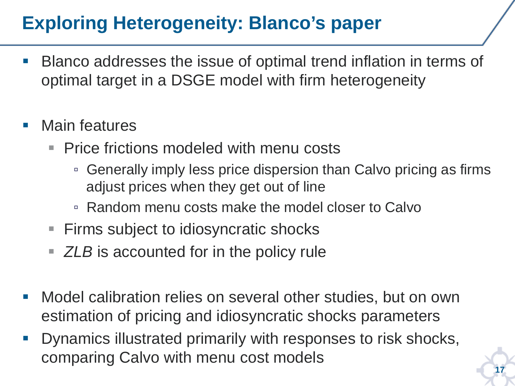### **Exploring Heterogeneity: Blanco's paper**

- Blanco addresses the issue of optimal trend inflation in terms of optimal target in a DSGE model with firm heterogeneity
- Main features
	- **Price frictions modeled with menu costs** 
		- Generally imply less price dispersion than Calvo pricing as firms adjust prices when they get out of line
		- Random menu costs make the model closer to Calvo
	- **Firms subject to idiosyncratic shocks**
	- **EXACT** ZLB is accounted for in the policy rule
- **Nodel calibration relies on several other studies, but on own** estimation of pricing and idiosyncratic shocks parameters
- **Dynamics illustrated primarily with responses to risk shocks,** comparing Calvo with menu cost models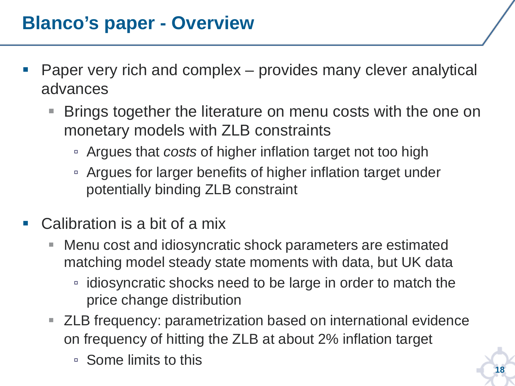#### **Blanco's paper - Overview**

- Paper very rich and complex provides many clever analytical advances
	- Brings together the literature on menu costs with the one on monetary models with ZLB constraints
		- Argues that *costs* of higher inflation target not too high
		- Argues for larger benefits of higher inflation target under potentially binding ZLB constraint
- Calibration is a bit of a mix
	- Menu cost and idiosyncratic shock parameters are estimated matching model steady state moments with data, but UK data
		- idiosyncratic shocks need to be large in order to match the price change distribution
	- **EXTED FREQUENCY: parametrization based on international evidence** on frequency of hitting the ZLB at about 2% inflation target
		- Some limits to this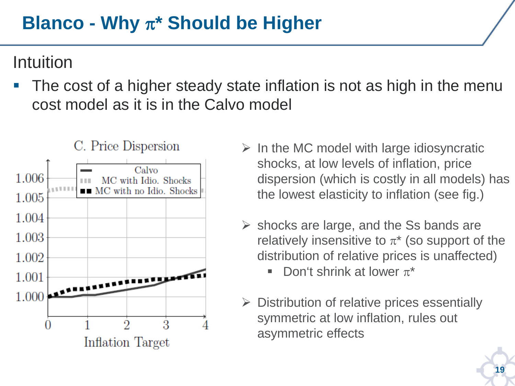### **Blanco - Why** π**\* Should be Higher**

#### Intuition

 The cost of a higher steady state inflation is not as high in the menu cost model as it is in the Calvo model



- $\triangleright$  In the MC model with large idiosyncratic shocks, at low levels of inflation, price dispersion (which is costly in all models) has the lowest elasticity to inflation (see fig.)
- $\triangleright$  shocks are large, and the Ss bands are relatively insensitive to  $\pi^*$  (so support of the distribution of relative prices is unaffected)
	- Don't shrink at lower  $\pi^*$
- $\triangleright$  Distribution of relative prices essentially symmetric at low inflation, rules out asymmetric effects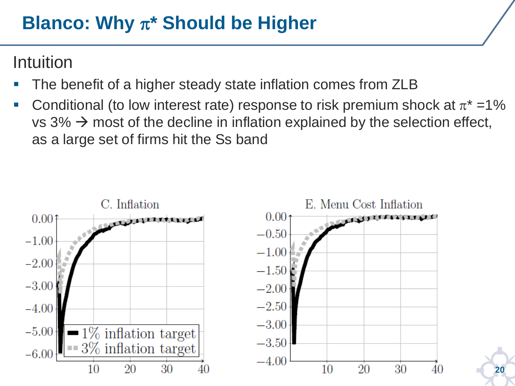#### **Blanco: Why** π**\* Should be Higher**

#### Intuition

- The benefit of a higher steady state inflation comes from ZLB
- Conditional (to low interest rate) response to risk premium shock at  $\pi^* = 1\%$ vs  $3\% \rightarrow \text{most of the decline in inflation explained by the selection effect,}$ as a large set of firms hit the Ss band



**20**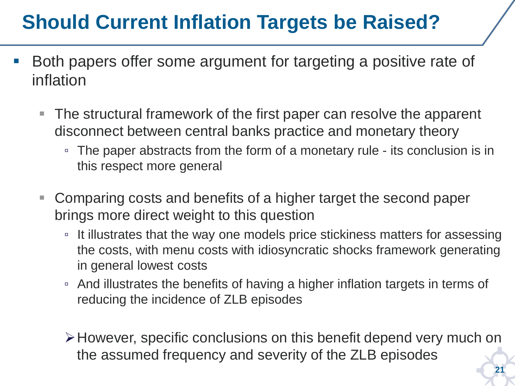# **Should Current Inflation Targets be Raised?**

- Both papers offer some argument for targeting a positive rate of inflation
	- The structural framework of the first paper can resolve the apparent disconnect between central banks practice and monetary theory
		- The paper abstracts from the form of a monetary rule its conclusion is in this respect more general
	- Comparing costs and benefits of a higher target the second paper brings more direct weight to this question
		- It illustrates that the way one models price stickiness matters for assessing the costs, with menu costs with idiosyncratic shocks framework generating in general lowest costs
		- And illustrates the benefits of having a higher inflation targets in terms of reducing the incidence of ZLB episodes
		- However, specific conclusions on this benefit depend very much on the assumed frequency and severity of the ZLB episodes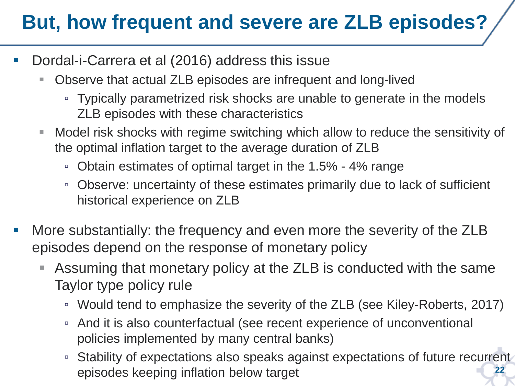# **But, how frequent and severe are ZLB episodes?**

- Dordal-i-Carrera et al (2016) address this issue
	- Observe that actual ZLB episodes are infrequent and long-lived
		- Typically parametrized risk shocks are unable to generate in the models ZLB episodes with these characteristics
	- Model risk shocks with regime switching which allow to reduce the sensitivity of the optimal inflation target to the average duration of ZLB
		- Obtain estimates of optimal target in the 1.5% 4% range
		- Observe: uncertainty of these estimates primarily due to lack of sufficient historical experience on ZLB
- More substantially: the frequency and even more the severity of the ZLB episodes depend on the response of monetary policy
	- Assuming that monetary policy at the ZLB is conducted with the same Taylor type policy rule
		- Would tend to emphasize the severity of the ZLB (see Kiley-Roberts, 2017)
		- And it is also counterfactual (see recent experience of unconventional policies implemented by many central banks)
		- **22** ▫ Stability of expectations also speaks against expectations of future recurrent episodes keeping inflation below target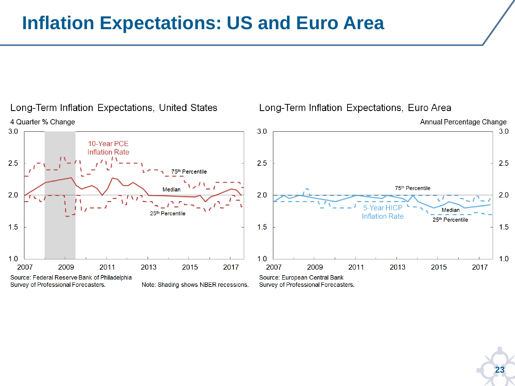#### **Inflation Expectations: US and Euro Area**



**23**